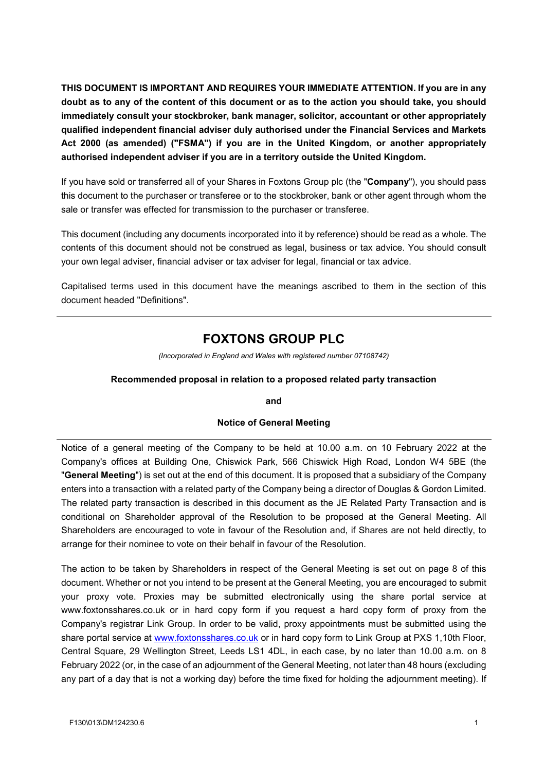**THIS DOCUMENT IS IMPORTANT AND REQUIRES YOUR IMMEDIATE ATTENTION. If you are in any doubt as to any of the content of this document or as to the action you should take, you should immediately consult your stockbroker, bank manager, solicitor, accountant or other appropriately qualified independent financial adviser duly authorised under the Financial Services and Markets Act 2000 (as amended) ("FSMA") if you are in the United Kingdom, or another appropriately authorised independent adviser if you are in a territory outside the United Kingdom.**

If you have sold or transferred all of your Shares in Foxtons Group plc (the "**Company**"), you should pass this document to the purchaser or transferee or to the stockbroker, bank or other agent through whom the sale or transfer was effected for transmission to the purchaser or transferee.

This document (including any documents incorporated into it by reference) should be read as a whole. The contents of this document should not be construed as legal, business or tax advice. You should consult your own legal adviser, financial adviser or tax adviser for legal, financial or tax advice.

Capitalised terms used in this document have the meanings ascribed to them in the section of this document headed "Definitions".

# **FOXTONS GROUP PLC**

*(Incorporated in England and Wales with registered number 07108742)*

#### **Recommended proposal in relation to a proposed related party transaction**

**and** 

#### **Notice of General Meeting**

Notice of a general meeting of the Company to be held at 10.00 a.m. on 10 February 2022 at the Company's offices at Building One, Chiswick Park, 566 Chiswick High Road, London W4 5BE (the "**General Meeting**") is set out at the end of this document. It is proposed that a subsidiary of the Company enters into a transaction with a related party of the Company being a director of Douglas & Gordon Limited. The related party transaction is described in this document as the JE Related Party Transaction and is conditional on Shareholder approval of the Resolution to be proposed at the General Meeting. All Shareholders are encouraged to vote in favour of the Resolution and, if Shares are not held directly, to arrange for their nominee to vote on their behalf in favour of the Resolution.

The action to be taken by Shareholders in respect of the General Meeting is set out on page 8 of this document. Whether or not you intend to be present at the General Meeting, you are encouraged to submit your proxy vote. Proxies may be submitted electronically using the share portal service at www.foxtonsshares.co.uk or in hard copy form if you request a hard copy form of proxy from the Company's registrar Link Group. In order to be valid, proxy appointments must be submitted using the share portal service at www.foxtonsshares.co.uk or in hard copy form to Link Group at PXS 1,10th Floor, Central Square, 29 Wellington Street, Leeds LS1 4DL, in each case, by no later than 10.00 a.m. on 8 February 2022 (or, in the case of an adjournment of the General Meeting, not later than 48 hours (excluding any part of a day that is not a working day) before the time fixed for holding the adjournment meeting). If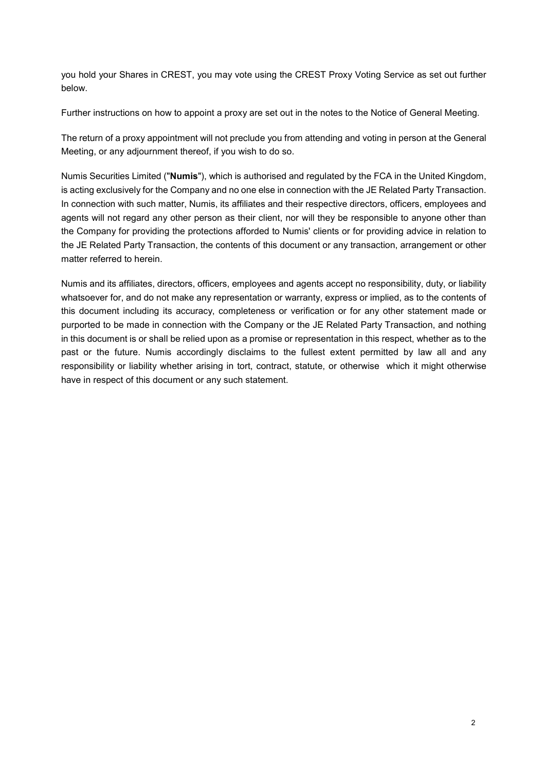you hold your Shares in CREST, you may vote using the CREST Proxy Voting Service as set out further below.

Further instructions on how to appoint a proxy are set out in the notes to the Notice of General Meeting.

The return of a proxy appointment will not preclude you from attending and voting in person at the General Meeting, or any adjournment thereof, if you wish to do so.

Numis Securities Limited ("**Numis**"), which is authorised and regulated by the FCA in the United Kingdom, is acting exclusively for the Company and no one else in connection with the JE Related Party Transaction. In connection with such matter, Numis, its affiliates and their respective directors, officers, employees and agents will not regard any other person as their client, nor will they be responsible to anyone other than the Company for providing the protections afforded to Numis' clients or for providing advice in relation to the JE Related Party Transaction, the contents of this document or any transaction, arrangement or other matter referred to herein.

Numis and its affiliates, directors, officers, employees and agents accept no responsibility, duty, or liability whatsoever for, and do not make any representation or warranty, express or implied, as to the contents of this document including its accuracy, completeness or verification or for any other statement made or purported to be made in connection with the Company or the JE Related Party Transaction, and nothing in this document is or shall be relied upon as a promise or representation in this respect, whether as to the past or the future. Numis accordingly disclaims to the fullest extent permitted by law all and any responsibility or liability whether arising in tort, contract, statute, or otherwise which it might otherwise have in respect of this document or any such statement.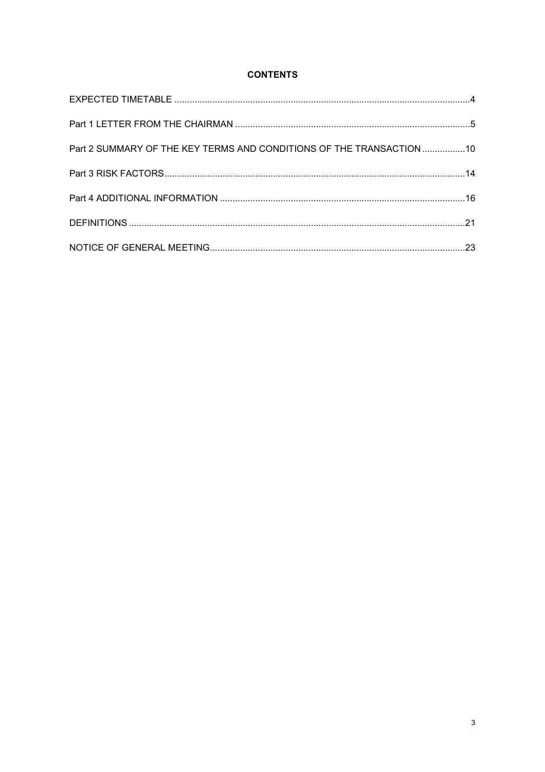# **CONTENTS**

| Part 2 SUMMARY OF THE KEY TERMS AND CONDITIONS OF THE TRANSACTION 10 |  |
|----------------------------------------------------------------------|--|
|                                                                      |  |
|                                                                      |  |
|                                                                      |  |
|                                                                      |  |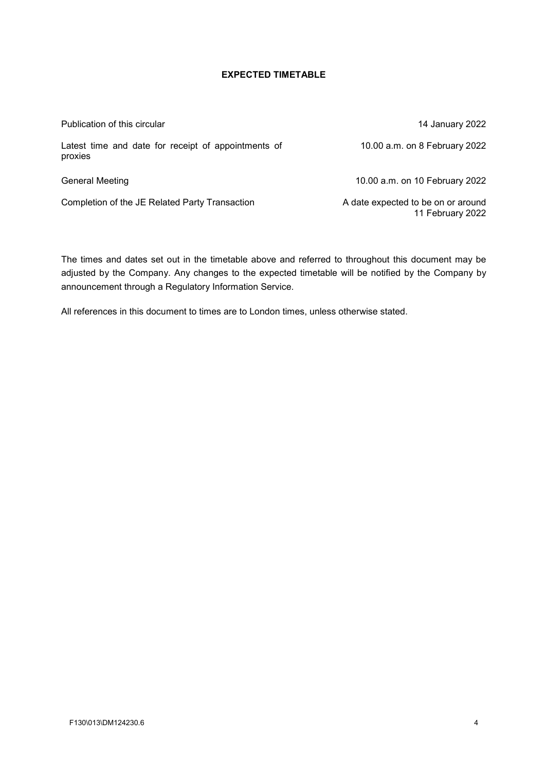## **EXPECTED TIMETABLE**

Publication of this circular 14 January 2022 Latest time and date for receipt of appointments of proxies

General Meeting 10.00 a.m. on 10 February 2022

Completion of the JE Related Party Transaction A date expected to be on or around

The times and dates set out in the timetable above and referred to throughout this document may be adjusted by the Company. Any changes to the expected timetable will be notified by the Company by announcement through a Regulatory Information Service.

All references in this document to times are to London times, unless otherwise stated.

11 February 2022

10.00 a.m. on 8 February 2022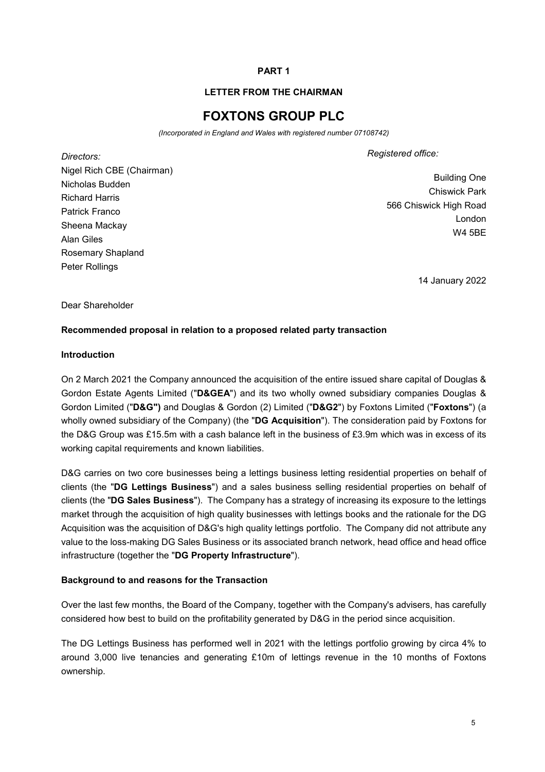## **PART 1**

#### **LETTER FROM THE CHAIRMAN**

# **FOXTONS GROUP PLC**

*(Incorporated in England and Wales with registered number 07108742)* 

*Directors:*  Nigel Rich CBE (Chairman) Nicholas Budden Richard Harris Patrick Franco Sheena Mackay Alan Giles Rosemary Shapland Peter Rollings

*Registered office:*

Building One Chiswick Park 566 Chiswick High Road London W4 5BE

14 January 2022

Dear Shareholder

#### **Recommended proposal in relation to a proposed related party transaction**

#### **Introduction**

On 2 March 2021 the Company announced the acquisition of the entire issued share capital of Douglas & Gordon Estate Agents Limited ("**D&GEA**") and its two wholly owned subsidiary companies Douglas & Gordon Limited ("**D&G")** and Douglas & Gordon (2) Limited ("**D&G2**") by Foxtons Limited ("**Foxtons**") (a wholly owned subsidiary of the Company) (the "**DG Acquisition**"). The consideration paid by Foxtons for the D&G Group was £15.5m with a cash balance left in the business of £3.9m which was in excess of its working capital requirements and known liabilities.

D&G carries on two core businesses being a lettings business letting residential properties on behalf of clients (the "**DG Lettings Business**") and a sales business selling residential properties on behalf of clients (the "**DG Sales Business**"). The Company has a strategy of increasing its exposure to the lettings market through the acquisition of high quality businesses with lettings books and the rationale for the DG Acquisition was the acquisition of D&G's high quality lettings portfolio. The Company did not attribute any value to the loss-making DG Sales Business or its associated branch network, head office and head office infrastructure (together the "**DG Property Infrastructure**").

#### **Background to and reasons for the Transaction**

Over the last few months, the Board of the Company, together with the Company's advisers, has carefully considered how best to build on the profitability generated by D&G in the period since acquisition.

The DG Lettings Business has performed well in 2021 with the lettings portfolio growing by circa 4% to around 3,000 live tenancies and generating £10m of lettings revenue in the 10 months of Foxtons ownership.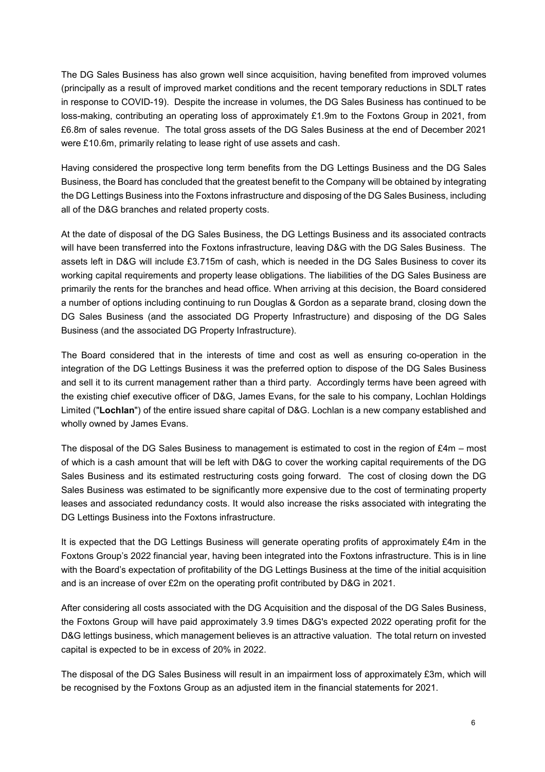The DG Sales Business has also grown well since acquisition, having benefited from improved volumes (principally as a result of improved market conditions and the recent temporary reductions in SDLT rates in response to COVID-19). Despite the increase in volumes, the DG Sales Business has continued to be loss-making, contributing an operating loss of approximately £1.9m to the Foxtons Group in 2021, from £6.8m of sales revenue. The total gross assets of the DG Sales Business at the end of December 2021 were £10.6m, primarily relating to lease right of use assets and cash.

Having considered the prospective long term benefits from the DG Lettings Business and the DG Sales Business, the Board has concluded that the greatest benefit to the Company will be obtained by integrating the DG Lettings Business into the Foxtons infrastructure and disposing of the DG Sales Business, including all of the D&G branches and related property costs.

At the date of disposal of the DG Sales Business, the DG Lettings Business and its associated contracts will have been transferred into the Foxtons infrastructure, leaving D&G with the DG Sales Business. The assets left in D&G will include £3.715m of cash, which is needed in the DG Sales Business to cover its working capital requirements and property lease obligations. The liabilities of the DG Sales Business are primarily the rents for the branches and head office. When arriving at this decision, the Board considered a number of options including continuing to run Douglas & Gordon as a separate brand, closing down the DG Sales Business (and the associated DG Property Infrastructure) and disposing of the DG Sales Business (and the associated DG Property Infrastructure).

The Board considered that in the interests of time and cost as well as ensuring co-operation in the integration of the DG Lettings Business it was the preferred option to dispose of the DG Sales Business and sell it to its current management rather than a third party. Accordingly terms have been agreed with the existing chief executive officer of D&G, James Evans, for the sale to his company, Lochlan Holdings Limited ("**Lochlan**") of the entire issued share capital of D&G. Lochlan is a new company established and wholly owned by James Evans.

The disposal of the DG Sales Business to management is estimated to cost in the region of £4m – most of which is a cash amount that will be left with D&G to cover the working capital requirements of the DG Sales Business and its estimated restructuring costs going forward. The cost of closing down the DG Sales Business was estimated to be significantly more expensive due to the cost of terminating property leases and associated redundancy costs. It would also increase the risks associated with integrating the DG Lettings Business into the Foxtons infrastructure.

It is expected that the DG Lettings Business will generate operating profits of approximately £4m in the Foxtons Group's 2022 financial year, having been integrated into the Foxtons infrastructure. This is in line with the Board's expectation of profitability of the DG Lettings Business at the time of the initial acquisition and is an increase of over £2m on the operating profit contributed by D&G in 2021.

After considering all costs associated with the DG Acquisition and the disposal of the DG Sales Business, the Foxtons Group will have paid approximately 3.9 times D&G's expected 2022 operating profit for the D&G lettings business, which management believes is an attractive valuation. The total return on invested capital is expected to be in excess of 20% in 2022.

The disposal of the DG Sales Business will result in an impairment loss of approximately £3m, which will be recognised by the Foxtons Group as an adjusted item in the financial statements for 2021.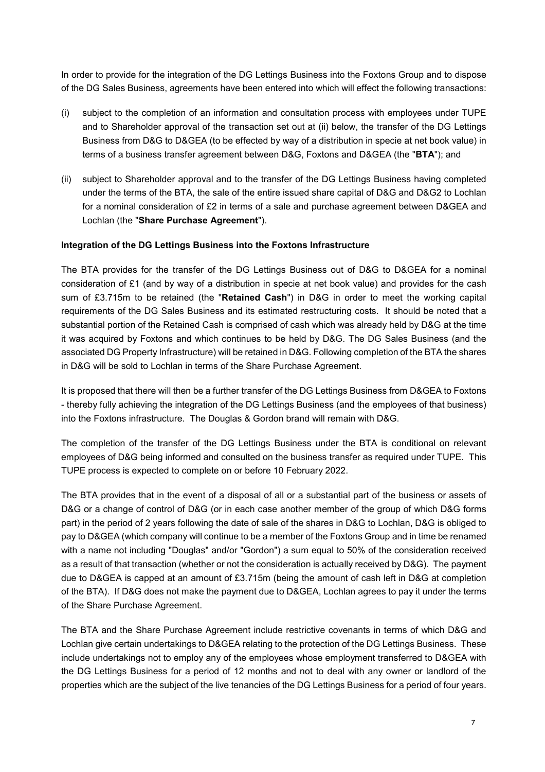In order to provide for the integration of the DG Lettings Business into the Foxtons Group and to dispose of the DG Sales Business, agreements have been entered into which will effect the following transactions:

- (i) subject to the completion of an information and consultation process with employees under TUPE and to Shareholder approval of the transaction set out at (ii) below, the transfer of the DG Lettings Business from D&G to D&GEA (to be effected by way of a distribution in specie at net book value) in terms of a business transfer agreement between D&G, Foxtons and D&GEA (the "**BTA**"); and
- (ii) subject to Shareholder approval and to the transfer of the DG Lettings Business having completed under the terms of the BTA, the sale of the entire issued share capital of D&G and D&G2 to Lochlan for a nominal consideration of £2 in terms of a sale and purchase agreement between D&GEA and Lochlan (the "**Share Purchase Agreement**").

#### **Integration of the DG Lettings Business into the Foxtons Infrastructure**

The BTA provides for the transfer of the DG Lettings Business out of D&G to D&GEA for a nominal consideration of £1 (and by way of a distribution in specie at net book value) and provides for the cash sum of £3.715m to be retained (the "**Retained Cash**") in D&G in order to meet the working capital requirements of the DG Sales Business and its estimated restructuring costs. It should be noted that a substantial portion of the Retained Cash is comprised of cash which was already held by D&G at the time it was acquired by Foxtons and which continues to be held by D&G. The DG Sales Business (and the associated DG Property Infrastructure) will be retained in D&G. Following completion of the BTA the shares in D&G will be sold to Lochlan in terms of the Share Purchase Agreement.

It is proposed that there will then be a further transfer of the DG Lettings Business from D&GEA to Foxtons - thereby fully achieving the integration of the DG Lettings Business (and the employees of that business) into the Foxtons infrastructure. The Douglas & Gordon brand will remain with D&G.

The completion of the transfer of the DG Lettings Business under the BTA is conditional on relevant employees of D&G being informed and consulted on the business transfer as required under TUPE. This TUPE process is expected to complete on or before 10 February 2022.

The BTA provides that in the event of a disposal of all or a substantial part of the business or assets of D&G or a change of control of D&G (or in each case another member of the group of which D&G forms part) in the period of 2 years following the date of sale of the shares in D&G to Lochlan, D&G is obliged to pay to D&GEA (which company will continue to be a member of the Foxtons Group and in time be renamed with a name not including "Douglas" and/or "Gordon") a sum equal to 50% of the consideration received as a result of that transaction (whether or not the consideration is actually received by D&G). The payment due to D&GEA is capped at an amount of £3.715m (being the amount of cash left in D&G at completion of the BTA). If D&G does not make the payment due to D&GEA, Lochlan agrees to pay it under the terms of the Share Purchase Agreement.

The BTA and the Share Purchase Agreement include restrictive covenants in terms of which D&G and Lochlan give certain undertakings to D&GEA relating to the protection of the DG Lettings Business. These include undertakings not to employ any of the employees whose employment transferred to D&GEA with the DG Lettings Business for a period of 12 months and not to deal with any owner or landlord of the properties which are the subject of the live tenancies of the DG Lettings Business for a period of four years.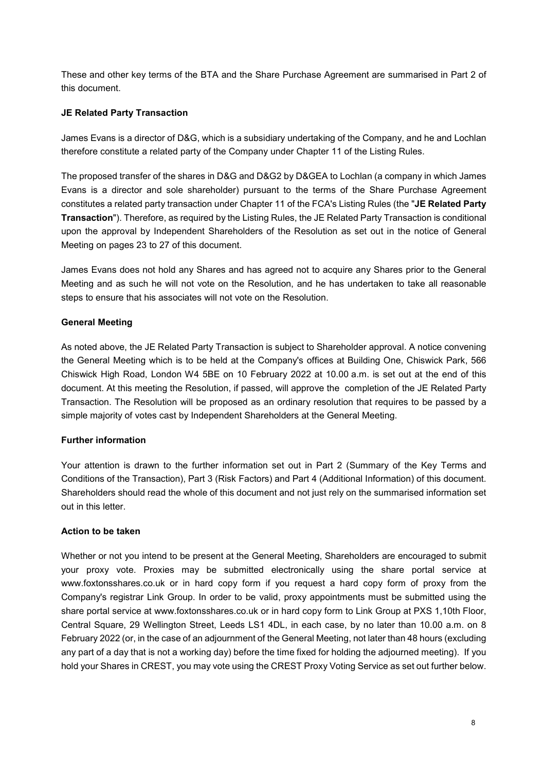These and other key terms of the BTA and the Share Purchase Agreement are summarised in Part 2 of this document.

## **JE Related Party Transaction**

James Evans is a director of D&G, which is a subsidiary undertaking of the Company, and he and Lochlan therefore constitute a related party of the Company under Chapter 11 of the Listing Rules.

The proposed transfer of the shares in D&G and D&G2 by D&GEA to Lochlan (a company in which James Evans is a director and sole shareholder) pursuant to the terms of the Share Purchase Agreement constitutes a related party transaction under Chapter 11 of the FCA's Listing Rules (the "**JE Related Party Transaction**"). Therefore, as required by the Listing Rules, the JE Related Party Transaction is conditional upon the approval by Independent Shareholders of the Resolution as set out in the notice of General Meeting on pages 23 to 27 of this document.

James Evans does not hold any Shares and has agreed not to acquire any Shares prior to the General Meeting and as such he will not vote on the Resolution, and he has undertaken to take all reasonable steps to ensure that his associates will not vote on the Resolution.

## **General Meeting**

As noted above, the JE Related Party Transaction is subject to Shareholder approval. A notice convening the General Meeting which is to be held at the Company's offices at Building One, Chiswick Park, 566 Chiswick High Road, London W4 5BE on 10 February 2022 at 10.00 a.m. is set out at the end of this document. At this meeting the Resolution, if passed, will approve the completion of the JE Related Party Transaction. The Resolution will be proposed as an ordinary resolution that requires to be passed by a simple majority of votes cast by Independent Shareholders at the General Meeting.

#### **Further information**

Your attention is drawn to the further information set out in Part 2 (Summary of the Key Terms and Conditions of the Transaction), Part 3 (Risk Factors) and Part 4 (Additional Information) of this document. Shareholders should read the whole of this document and not just rely on the summarised information set out in this letter.

#### **Action to be taken**

Whether or not you intend to be present at the General Meeting, Shareholders are encouraged to submit your proxy vote. Proxies may be submitted electronically using the share portal service at www.foxtonsshares.co.uk or in hard copy form if you request a hard copy form of proxy from the Company's registrar Link Group. In order to be valid, proxy appointments must be submitted using the share portal service at www.foxtonsshares.co.uk or in hard copy form to Link Group at PXS 1,10th Floor, Central Square, 29 Wellington Street, Leeds LS1 4DL, in each case, by no later than 10.00 a.m. on 8 February 2022 (or, in the case of an adjournment of the General Meeting, not later than 48 hours (excluding any part of a day that is not a working day) before the time fixed for holding the adjourned meeting). If you hold your Shares in CREST, you may vote using the CREST Proxy Voting Service as set out further below.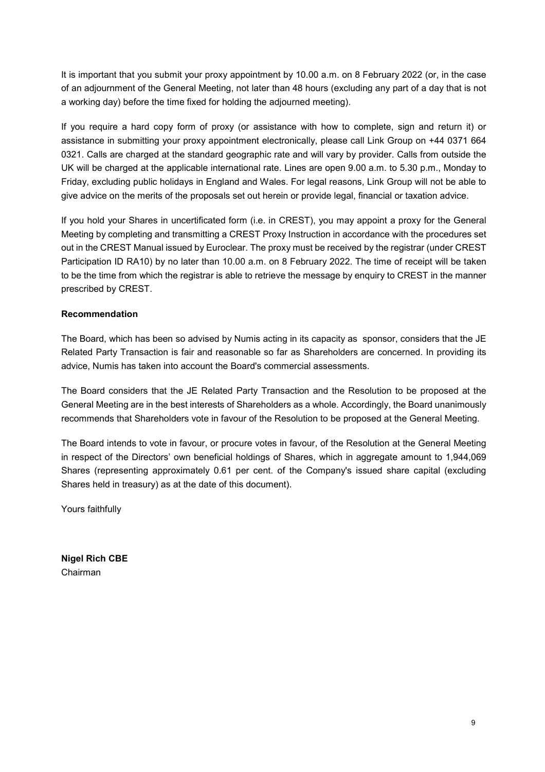It is important that you submit your proxy appointment by 10.00 a.m. on 8 February 2022 (or, in the case of an adjournment of the General Meeting, not later than 48 hours (excluding any part of a day that is not a working day) before the time fixed for holding the adjourned meeting).

If you require a hard copy form of proxy (or assistance with how to complete, sign and return it) or assistance in submitting your proxy appointment electronically, please call Link Group on +44 0371 664 0321. Calls are charged at the standard geographic rate and will vary by provider. Calls from outside the UK will be charged at the applicable international rate. Lines are open 9.00 a.m. to 5.30 p.m., Monday to Friday, excluding public holidays in England and Wales. For legal reasons, Link Group will not be able to give advice on the merits of the proposals set out herein or provide legal, financial or taxation advice.

If you hold your Shares in uncertificated form (i.e. in CREST), you may appoint a proxy for the General Meeting by completing and transmitting a CREST Proxy Instruction in accordance with the procedures set out in the CREST Manual issued by Euroclear. The proxy must be received by the registrar (under CREST Participation ID RA10) by no later than 10.00 a.m. on 8 February 2022. The time of receipt will be taken to be the time from which the registrar is able to retrieve the message by enquiry to CREST in the manner prescribed by CREST.

## **Recommendation**

The Board, which has been so advised by Numis acting in its capacity as sponsor, considers that the JE Related Party Transaction is fair and reasonable so far as Shareholders are concerned. In providing its advice, Numis has taken into account the Board's commercial assessments.

The Board considers that the JE Related Party Transaction and the Resolution to be proposed at the General Meeting are in the best interests of Shareholders as a whole. Accordingly, the Board unanimously recommends that Shareholders vote in favour of the Resolution to be proposed at the General Meeting.

The Board intends to vote in favour, or procure votes in favour, of the Resolution at the General Meeting in respect of the Directors' own beneficial holdings of Shares, which in aggregate amount to 1,944,069 Shares (representing approximately 0.61 per cent. of the Company's issued share capital (excluding Shares held in treasury) as at the date of this document).

Yours faithfully

**Nigel Rich CBE**  Chairman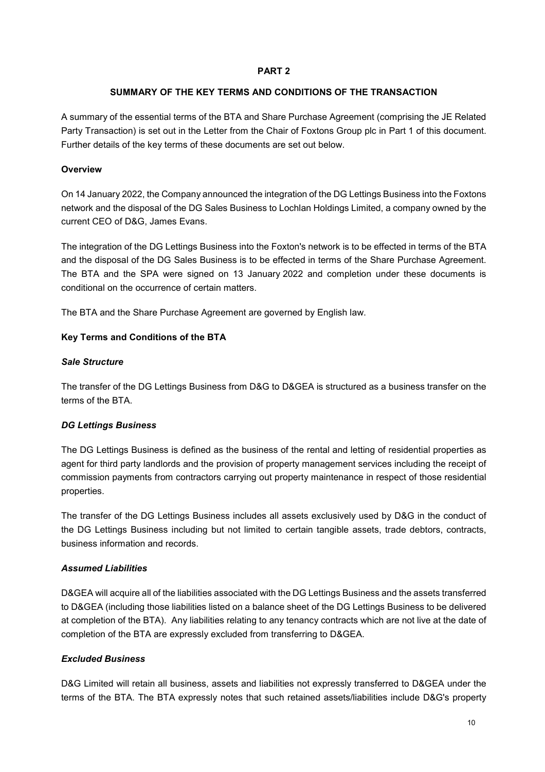#### **PART 2**

#### **SUMMARY OF THE KEY TERMS AND CONDITIONS OF THE TRANSACTION**

A summary of the essential terms of the BTA and Share Purchase Agreement (comprising the JE Related Party Transaction) is set out in the Letter from the Chair of Foxtons Group plc in Part 1 of this document. Further details of the key terms of these documents are set out below.

## **Overview**

On 14 January 2022, the Company announced the integration of the DG Lettings Business into the Foxtons network and the disposal of the DG Sales Business to Lochlan Holdings Limited, a company owned by the current CEO of D&G, James Evans.

The integration of the DG Lettings Business into the Foxton's network is to be effected in terms of the BTA and the disposal of the DG Sales Business is to be effected in terms of the Share Purchase Agreement. The BTA and the SPA were signed on 13 January 2022 and completion under these documents is conditional on the occurrence of certain matters.

The BTA and the Share Purchase Agreement are governed by English law.

## **Key Terms and Conditions of the BTA**

#### *Sale Structure*

The transfer of the DG Lettings Business from D&G to D&GEA is structured as a business transfer on the terms of the BTA.

## *DG Lettings Business*

The DG Lettings Business is defined as the business of the rental and letting of residential properties as agent for third party landlords and the provision of property management services including the receipt of commission payments from contractors carrying out property maintenance in respect of those residential properties.

The transfer of the DG Lettings Business includes all assets exclusively used by D&G in the conduct of the DG Lettings Business including but not limited to certain tangible assets, trade debtors, contracts, business information and records.

## *Assumed Liabilities*

D&GEA will acquire all of the liabilities associated with the DG Lettings Business and the assets transferred to D&GEA (including those liabilities listed on a balance sheet of the DG Lettings Business to be delivered at completion of the BTA). Any liabilities relating to any tenancy contracts which are not live at the date of completion of the BTA are expressly excluded from transferring to D&GEA.

## *Excluded Business*

D&G Limited will retain all business, assets and liabilities not expressly transferred to D&GEA under the terms of the BTA. The BTA expressly notes that such retained assets/liabilities include D&G's property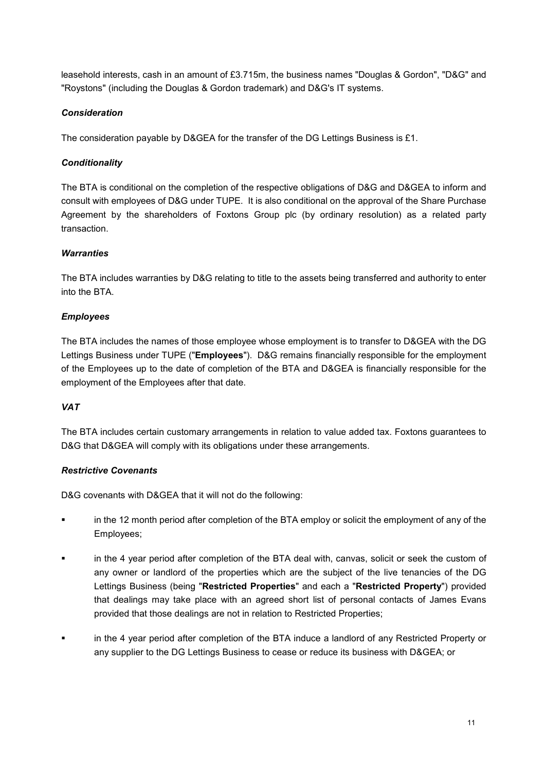leasehold interests, cash in an amount of £3.715m, the business names "Douglas & Gordon", "D&G" and "Roystons" (including the Douglas & Gordon trademark) and D&G's IT systems.

## *Consideration*

The consideration payable by D&GEA for the transfer of the DG Lettings Business is £1.

## *Conditionality*

The BTA is conditional on the completion of the respective obligations of D&G and D&GEA to inform and consult with employees of D&G under TUPE. It is also conditional on the approval of the Share Purchase Agreement by the shareholders of Foxtons Group plc (by ordinary resolution) as a related party transaction.

## *Warranties*

The BTA includes warranties by D&G relating to title to the assets being transferred and authority to enter into the BTA.

## *Employees*

The BTA includes the names of those employee whose employment is to transfer to D&GEA with the DG Lettings Business under TUPE ("**Employees**"). D&G remains financially responsible for the employment of the Employees up to the date of completion of the BTA and D&GEA is financially responsible for the employment of the Employees after that date.

#### *VAT*

The BTA includes certain customary arrangements in relation to value added tax. Foxtons guarantees to D&G that D&GEA will comply with its obligations under these arrangements.

#### *Restrictive Covenants*

D&G covenants with D&GEA that it will not do the following:

- in the 12 month period after completion of the BTA employ or solicit the employment of any of the Employees;
- in the 4 year period after completion of the BTA deal with, canvas, solicit or seek the custom of any owner or landlord of the properties which are the subject of the live tenancies of the DG Lettings Business (being "**Restricted Properties**" and each a "**Restricted Property**") provided that dealings may take place with an agreed short list of personal contacts of James Evans provided that those dealings are not in relation to Restricted Properties;
- in the 4 year period after completion of the BTA induce a landlord of any Restricted Property or any supplier to the DG Lettings Business to cease or reduce its business with D&GEA; or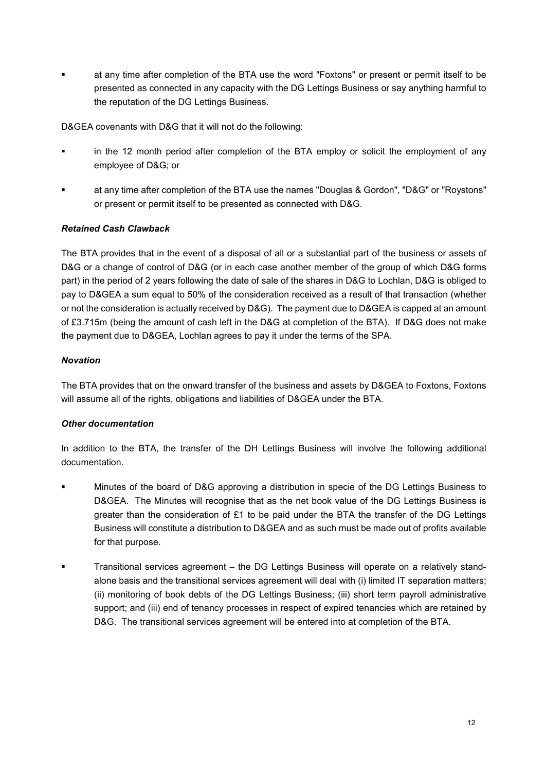at any time after completion of the BTA use the word "Foxtons" or present or permit itself to be presented as connected in any capacity with the DG Lettings Business or say anything harmful to the reputation of the DG Lettings Business.

D&GEA covenants with D&G that it will not do the following:

- in the 12 month period after completion of the BTA employ or solicit the employment of any employee of D&G; or
- at any time after completion of the BTA use the names "Douglas & Gordon", "D&G" or "Roystons" or present or permit itself to be presented as connected with D&G.

## *Retained Cash Clawback*

The BTA provides that in the event of a disposal of all or a substantial part of the business or assets of D&G or a change of control of D&G (or in each case another member of the group of which D&G forms part) in the period of 2 years following the date of sale of the shares in D&G to Lochlan, D&G is obliged to pay to D&GEA a sum equal to 50% of the consideration received as a result of that transaction (whether or not the consideration is actually received by D&G). The payment due to D&GEA is capped at an amount of £3.715m (being the amount of cash left in the D&G at completion of the BTA). If D&G does not make the payment due to D&GEA, Lochlan agrees to pay it under the terms of the SPA.

#### *Novation*

The BTA provides that on the onward transfer of the business and assets by D&GEA to Foxtons, Foxtons will assume all of the rights, obligations and liabilities of D&GEA under the BTA.

#### *Other documentation*

In addition to the BTA, the transfer of the DH Lettings Business will involve the following additional documentation.

- Minutes of the board of D&G approving a distribution in specie of the DG Lettings Business to D&GEA. The Minutes will recognise that as the net book value of the DG Lettings Business is greater than the consideration of £1 to be paid under the BTA the transfer of the DG Lettings Business will constitute a distribution to D&GEA and as such must be made out of profits available for that purpose.
- **Transitional services agreement the DG Lettings Business will operate on a relatively stand**alone basis and the transitional services agreement will deal with (i) limited IT separation matters; (ii) monitoring of book debts of the DG Lettings Business; (iii) short term payroll administrative support; and (iii) end of tenancy processes in respect of expired tenancies which are retained by D&G. The transitional services agreement will be entered into at completion of the BTA.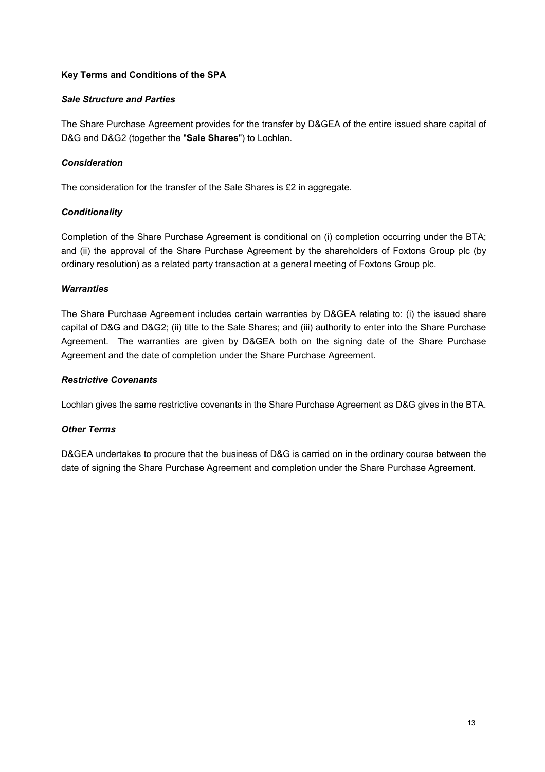## **Key Terms and Conditions of the SPA**

#### *Sale Structure and Parties*

The Share Purchase Agreement provides for the transfer by D&GEA of the entire issued share capital of D&G and D&G2 (together the "**Sale Shares**") to Lochlan.

## *Consideration*

The consideration for the transfer of the Sale Shares is £2 in aggregate.

## *Conditionality*

Completion of the Share Purchase Agreement is conditional on (i) completion occurring under the BTA; and (ii) the approval of the Share Purchase Agreement by the shareholders of Foxtons Group plc (by ordinary resolution) as a related party transaction at a general meeting of Foxtons Group plc.

## *Warranties*

The Share Purchase Agreement includes certain warranties by D&GEA relating to: (i) the issued share capital of D&G and D&G2; (ii) title to the Sale Shares; and (iii) authority to enter into the Share Purchase Agreement. The warranties are given by D&GEA both on the signing date of the Share Purchase Agreement and the date of completion under the Share Purchase Agreement.

## *Restrictive Covenants*

Lochlan gives the same restrictive covenants in the Share Purchase Agreement as D&G gives in the BTA.

#### *Other Terms*

D&GEA undertakes to procure that the business of D&G is carried on in the ordinary course between the date of signing the Share Purchase Agreement and completion under the Share Purchase Agreement.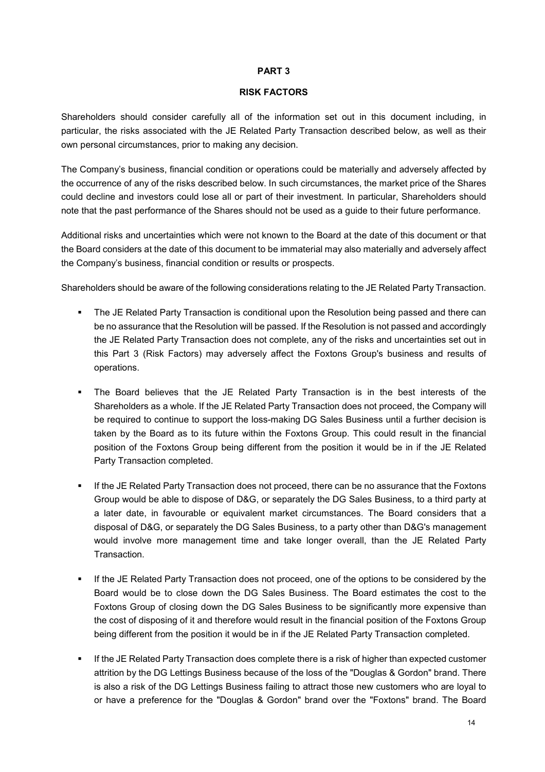#### **PART 3**

#### **RISK FACTORS**

Shareholders should consider carefully all of the information set out in this document including, in particular, the risks associated with the JE Related Party Transaction described below, as well as their own personal circumstances, prior to making any decision.

The Company's business, financial condition or operations could be materially and adversely affected by the occurrence of any of the risks described below. In such circumstances, the market price of the Shares could decline and investors could lose all or part of their investment. In particular, Shareholders should note that the past performance of the Shares should not be used as a guide to their future performance.

Additional risks and uncertainties which were not known to the Board at the date of this document or that the Board considers at the date of this document to be immaterial may also materially and adversely affect the Company's business, financial condition or results or prospects.

Shareholders should be aware of the following considerations relating to the JE Related Party Transaction.

- **The JE Related Party Transaction is conditional upon the Resolution being passed and there can** be no assurance that the Resolution will be passed. If the Resolution is not passed and accordingly the JE Related Party Transaction does not complete, any of the risks and uncertainties set out in this Part 3 (Risk Factors) may adversely affect the Foxtons Group's business and results of operations.
- The Board believes that the JE Related Party Transaction is in the best interests of the Shareholders as a whole. If the JE Related Party Transaction does not proceed, the Company will be required to continue to support the loss-making DG Sales Business until a further decision is taken by the Board as to its future within the Foxtons Group. This could result in the financial position of the Foxtons Group being different from the position it would be in if the JE Related Party Transaction completed.
- If the JE Related Party Transaction does not proceed, there can be no assurance that the Foxtons Group would be able to dispose of D&G, or separately the DG Sales Business, to a third party at a later date, in favourable or equivalent market circumstances. The Board considers that a disposal of D&G, or separately the DG Sales Business, to a party other than D&G's management would involve more management time and take longer overall, than the JE Related Party **Transaction**
- If the JE Related Party Transaction does not proceed, one of the options to be considered by the Board would be to close down the DG Sales Business. The Board estimates the cost to the Foxtons Group of closing down the DG Sales Business to be significantly more expensive than the cost of disposing of it and therefore would result in the financial position of the Foxtons Group being different from the position it would be in if the JE Related Party Transaction completed.
- If the JE Related Party Transaction does complete there is a risk of higher than expected customer attrition by the DG Lettings Business because of the loss of the "Douglas & Gordon" brand. There is also a risk of the DG Lettings Business failing to attract those new customers who are loyal to or have a preference for the "Douglas & Gordon" brand over the "Foxtons" brand. The Board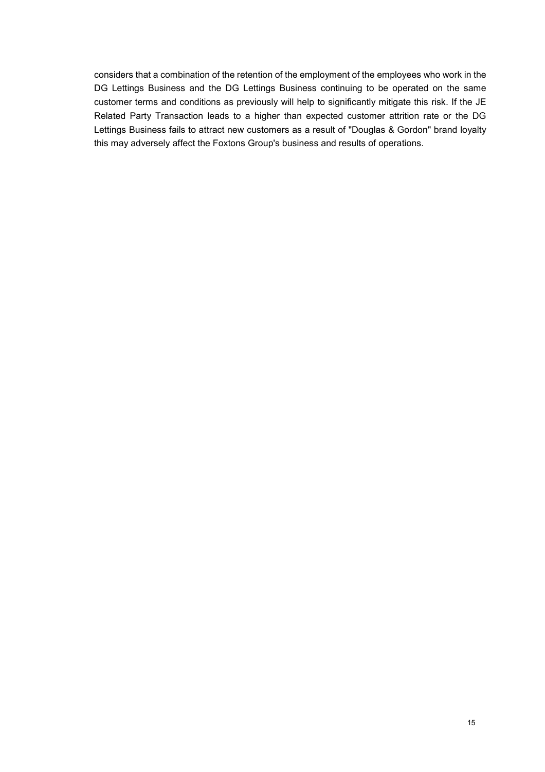considers that a combination of the retention of the employment of the employees who work in the DG Lettings Business and the DG Lettings Business continuing to be operated on the same customer terms and conditions as previously will help to significantly mitigate this risk. If the JE Related Party Transaction leads to a higher than expected customer attrition rate or the DG Lettings Business fails to attract new customers as a result of "Douglas & Gordon" brand loyalty this may adversely affect the Foxtons Group's business and results of operations.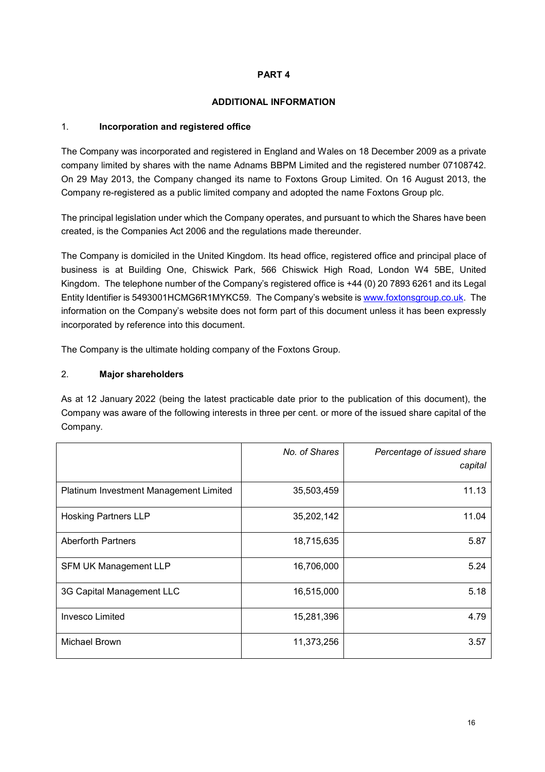## **PART 4**

#### **ADDITIONAL INFORMATION**

## 1. **Incorporation and registered office**

The Company was incorporated and registered in England and Wales on 18 December 2009 as a private company limited by shares with the name Adnams BBPM Limited and the registered number 07108742. On 29 May 2013, the Company changed its name to Foxtons Group Limited. On 16 August 2013, the Company re-registered as a public limited company and adopted the name Foxtons Group plc.

The principal legislation under which the Company operates, and pursuant to which the Shares have been created, is the Companies Act 2006 and the regulations made thereunder.

The Company is domiciled in the United Kingdom. Its head office, registered office and principal place of business is at Building One, Chiswick Park, 566 Chiswick High Road, London W4 5BE, United Kingdom. The telephone number of the Company's registered office is +44 (0) 20 7893 6261 and its Legal Entity Identifier is 5493001HCMG6R1MYKC59. The Company's website is www.foxtonsgroup.co.uk. The information on the Company's website does not form part of this document unless it has been expressly incorporated by reference into this document.

The Company is the ultimate holding company of the Foxtons Group.

## 2. **Major shareholders**

As at 12 January 2022 (being the latest practicable date prior to the publication of this document), the Company was aware of the following interests in three per cent. or more of the issued share capital of the Company.

|                                        | No. of Shares | Percentage of issued share<br>capital |
|----------------------------------------|---------------|---------------------------------------|
| Platinum Investment Management Limited | 35,503,459    | 11.13                                 |
| <b>Hosking Partners LLP</b>            | 35,202,142    | 11.04                                 |
| <b>Aberforth Partners</b>              | 18,715,635    | 5.87                                  |
| <b>SFM UK Management LLP</b>           | 16,706,000    | 5.24                                  |
| 3G Capital Management LLC              | 16,515,000    | 5.18                                  |
| <b>Invesco Limited</b>                 | 15,281,396    | 4.79                                  |
| <b>Michael Brown</b>                   | 11,373,256    | 3.57                                  |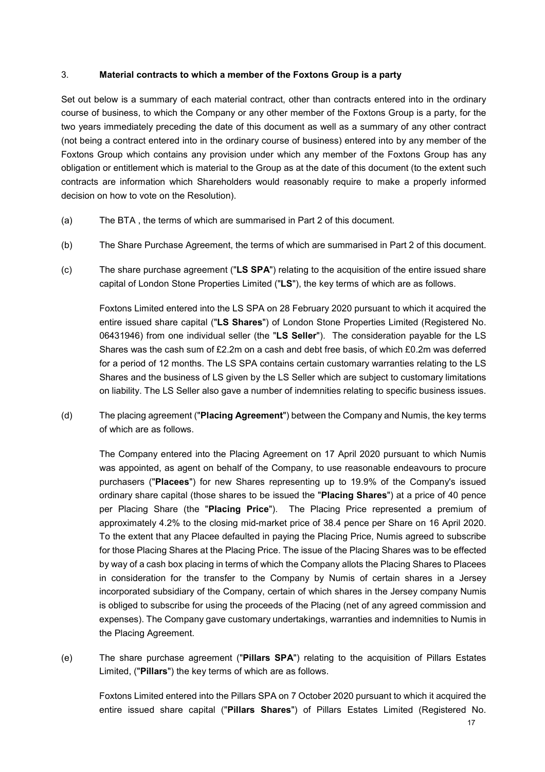#### 3. **Material contracts to which a member of the Foxtons Group is a party**

Set out below is a summary of each material contract, other than contracts entered into in the ordinary course of business, to which the Company or any other member of the Foxtons Group is a party, for the two years immediately preceding the date of this document as well as a summary of any other contract (not being a contract entered into in the ordinary course of business) entered into by any member of the Foxtons Group which contains any provision under which any member of the Foxtons Group has any obligation or entitlement which is material to the Group as at the date of this document (to the extent such contracts are information which Shareholders would reasonably require to make a properly informed decision on how to vote on the Resolution).

- (a) The BTA , the terms of which are summarised in Part 2 of this document.
- (b) The Share Purchase Agreement, the terms of which are summarised in Part 2 of this document.
- (c) The share purchase agreement ("**LS SPA**") relating to the acquisition of the entire issued share capital of London Stone Properties Limited ("**LS**"), the key terms of which are as follows.

Foxtons Limited entered into the LS SPA on 28 February 2020 pursuant to which it acquired the entire issued share capital ("**LS Shares**") of London Stone Properties Limited (Registered No. 06431946) from one individual seller (the "**LS Seller**"). The consideration payable for the LS Shares was the cash sum of £2.2m on a cash and debt free basis, of which £0.2m was deferred for a period of 12 months. The LS SPA contains certain customary warranties relating to the LS Shares and the business of LS given by the LS Seller which are subject to customary limitations on liability. The LS Seller also gave a number of indemnities relating to specific business issues.

(d) The placing agreement ("**Placing Agreement**") between the Company and Numis, the key terms of which are as follows.

The Company entered into the Placing Agreement on 17 April 2020 pursuant to which Numis was appointed, as agent on behalf of the Company, to use reasonable endeavours to procure purchasers ("**Placees**") for new Shares representing up to 19.9% of the Company's issued ordinary share capital (those shares to be issued the "**Placing Shares**") at a price of 40 pence per Placing Share (the "**Placing Price**"). The Placing Price represented a premium of approximately 4.2% to the closing mid-market price of 38.4 pence per Share on 16 April 2020. To the extent that any Placee defaulted in paying the Placing Price, Numis agreed to subscribe for those Placing Shares at the Placing Price. The issue of the Placing Shares was to be effected by way of a cash box placing in terms of which the Company allots the Placing Shares to Placees in consideration for the transfer to the Company by Numis of certain shares in a Jersey incorporated subsidiary of the Company, certain of which shares in the Jersey company Numis is obliged to subscribe for using the proceeds of the Placing (net of any agreed commission and expenses). The Company gave customary undertakings, warranties and indemnities to Numis in the Placing Agreement.

(e) The share purchase agreement ("**Pillars SPA**") relating to the acquisition of Pillars Estates Limited, ("**Pillars**") the key terms of which are as follows.

Foxtons Limited entered into the Pillars SPA on 7 October 2020 pursuant to which it acquired the entire issued share capital ("**Pillars Shares**") of Pillars Estates Limited (Registered No.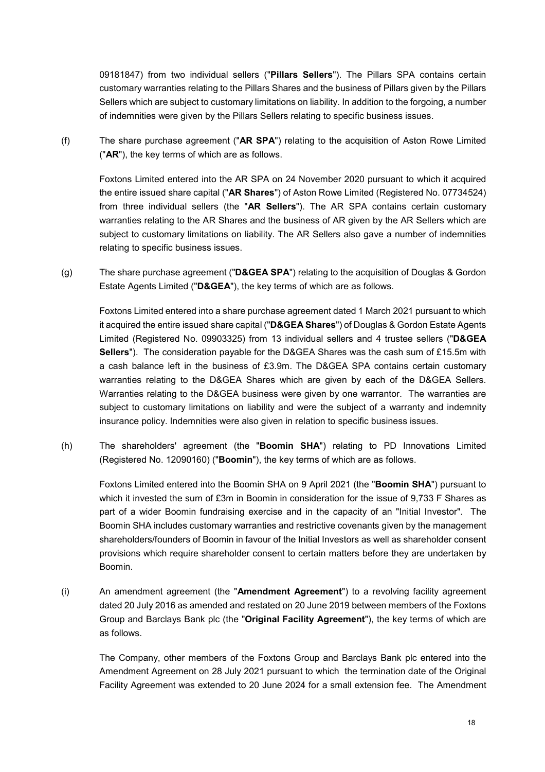09181847) from two individual sellers ("**Pillars Sellers**"). The Pillars SPA contains certain customary warranties relating to the Pillars Shares and the business of Pillars given by the Pillars Sellers which are subject to customary limitations on liability. In addition to the forgoing, a number of indemnities were given by the Pillars Sellers relating to specific business issues.

(f) The share purchase agreement ("**AR SPA**") relating to the acquisition of Aston Rowe Limited ("**AR**"), the key terms of which are as follows.

Foxtons Limited entered into the AR SPA on 24 November 2020 pursuant to which it acquired the entire issued share capital ("**AR Shares**") of Aston Rowe Limited (Registered No. 07734524) from three individual sellers (the "**AR Sellers**"). The AR SPA contains certain customary warranties relating to the AR Shares and the business of AR given by the AR Sellers which are subject to customary limitations on liability. The AR Sellers also gave a number of indemnities relating to specific business issues.

(g) The share purchase agreement ("**D&GEA SPA**") relating to the acquisition of Douglas & Gordon Estate Agents Limited ("**D&GEA**"), the key terms of which are as follows.

Foxtons Limited entered into a share purchase agreement dated 1 March 2021 pursuant to which it acquired the entire issued share capital ("**D&GEA Shares**") of Douglas & Gordon Estate Agents Limited (Registered No. 09903325) from 13 individual sellers and 4 trustee sellers ("**D&GEA Sellers**"). The consideration payable for the D&GEA Shares was the cash sum of £15.5m with a cash balance left in the business of £3.9m. The D&GEA SPA contains certain customary warranties relating to the D&GEA Shares which are given by each of the D&GEA Sellers. Warranties relating to the D&GEA business were given by one warrantor. The warranties are subject to customary limitations on liability and were the subject of a warranty and indemnity insurance policy. Indemnities were also given in relation to specific business issues.

(h) The shareholders' agreement (the "**Boomin SHA**") relating to PD Innovations Limited (Registered No. 12090160) ("**Boomin**"), the key terms of which are as follows.

Foxtons Limited entered into the Boomin SHA on 9 April 2021 (the "**Boomin SHA**") pursuant to which it invested the sum of £3m in Boomin in consideration for the issue of 9,733 F Shares as part of a wider Boomin fundraising exercise and in the capacity of an "Initial Investor". The Boomin SHA includes customary warranties and restrictive covenants given by the management shareholders/founders of Boomin in favour of the Initial Investors as well as shareholder consent provisions which require shareholder consent to certain matters before they are undertaken by Boomin.

(i) An amendment agreement (the "**Amendment Agreement**") to a revolving facility agreement dated 20 July 2016 as amended and restated on 20 June 2019 between members of the Foxtons Group and Barclays Bank plc (the "**Original Facility Agreement**"), the key terms of which are as follows.

The Company, other members of the Foxtons Group and Barclays Bank plc entered into the Amendment Agreement on 28 July 2021 pursuant to which the termination date of the Original Facility Agreement was extended to 20 June 2024 for a small extension fee. The Amendment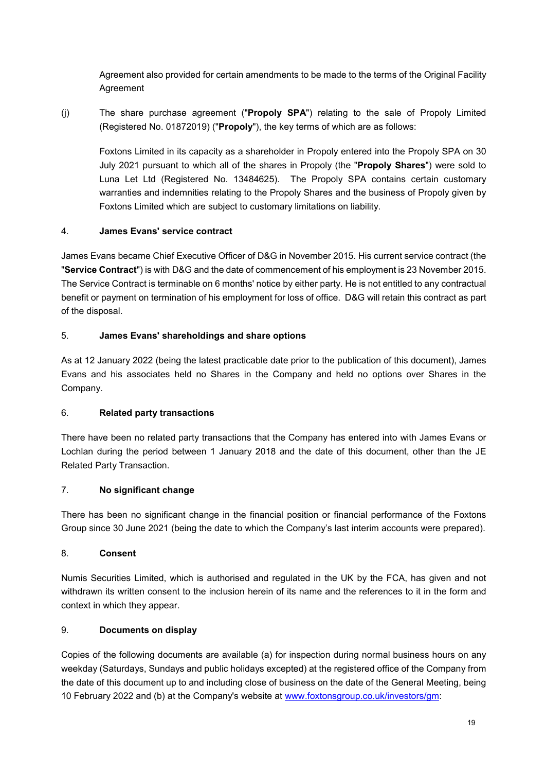Agreement also provided for certain amendments to be made to the terms of the Original Facility Agreement

(j) The share purchase agreement ("**Propoly SPA**") relating to the sale of Propoly Limited (Registered No. 01872019) ("**Propoly**"), the key terms of which are as follows:

Foxtons Limited in its capacity as a shareholder in Propoly entered into the Propoly SPA on 30 July 2021 pursuant to which all of the shares in Propoly (the "**Propoly Shares**") were sold to Luna Let Ltd (Registered No. 13484625). The Propoly SPA contains certain customary warranties and indemnities relating to the Propoly Shares and the business of Propoly given by Foxtons Limited which are subject to customary limitations on liability.

## 4. **James Evans' service contract**

James Evans became Chief Executive Officer of D&G in November 2015. His current service contract (the "**Service Contract**") is with D&G and the date of commencement of his employment is 23 November 2015. The Service Contract is terminable on 6 months' notice by either party. He is not entitled to any contractual benefit or payment on termination of his employment for loss of office. D&G will retain this contract as part of the disposal.

## 5. **James Evans' shareholdings and share options**

As at 12 January 2022 (being the latest practicable date prior to the publication of this document), James Evans and his associates held no Shares in the Company and held no options over Shares in the Company.

## 6. **Related party transactions**

There have been no related party transactions that the Company has entered into with James Evans or Lochlan during the period between 1 January 2018 and the date of this document, other than the JE Related Party Transaction.

## 7. **No significant change**

There has been no significant change in the financial position or financial performance of the Foxtons Group since 30 June 2021 (being the date to which the Company's last interim accounts were prepared).

## 8. **Consent**

Numis Securities Limited, which is authorised and regulated in the UK by the FCA, has given and not withdrawn its written consent to the inclusion herein of its name and the references to it in the form and context in which they appear.

## 9. **Documents on display**

Copies of the following documents are available (a) for inspection during normal business hours on any weekday (Saturdays, Sundays and public holidays excepted) at the registered office of the Company from the date of this document up to and including close of business on the date of the General Meeting, being 10 February 2022 and (b) at the Company's website at www.foxtonsgroup.co.uk/investors/gm: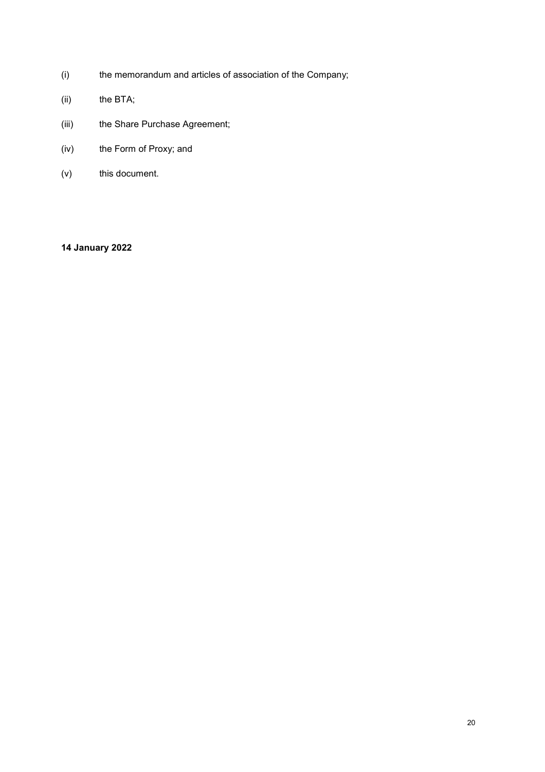- (i) the memorandum and articles of association of the Company;
- (ii) the BTA;
- (iii) the Share Purchase Agreement;
- (iv) the Form of Proxy; and
- (v) this document.

# **14 January 2022**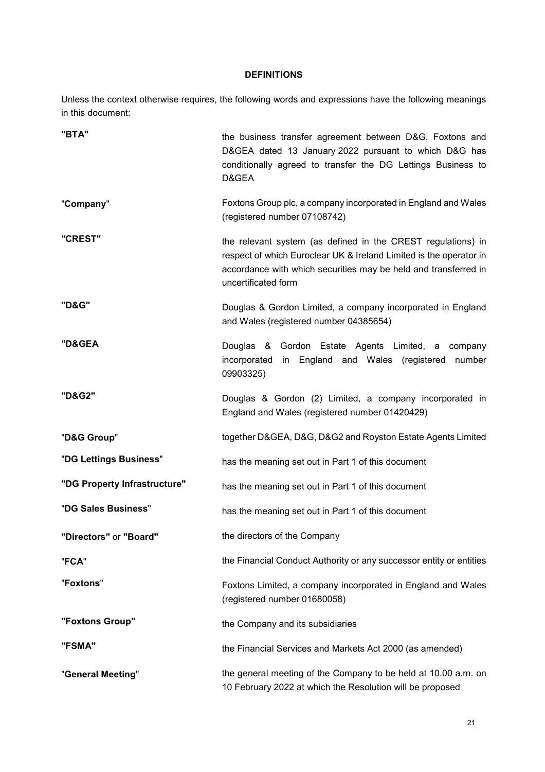#### **DEFINITIONS**

Unless the context otherwise requires, the following words and expressions have the following meanings in this document:

| "BTA"                        | the business transfer agreement between D&G, Foxtons and<br>D&GEA dated 13 January 2022 pursuant to which D&G has<br>conditionally agreed to transfer the DG Lettings Business to<br>D&GEA                                   |
|------------------------------|------------------------------------------------------------------------------------------------------------------------------------------------------------------------------------------------------------------------------|
| "Company"                    | Foxtons Group plc, a company incorporated in England and Wales<br>(registered number 07108742)                                                                                                                               |
| "CREST"                      | the relevant system (as defined in the CREST regulations) in<br>respect of which Euroclear UK & Ireland Limited is the operator in<br>accordance with which securities may be held and transferred in<br>uncertificated form |
| "D&G"                        | Douglas & Gordon Limited, a company incorporated in England<br>and Wales (registered number 04385654)                                                                                                                        |
| "D&GEA                       | Douglas & Gordon Estate Agents Limited, a<br>company<br>in England and Wales (registered<br>incorporated<br>number<br>09903325)                                                                                              |
| "D&G2"                       | Douglas & Gordon (2) Limited, a company incorporated in<br>England and Wales (registered number 01420429)                                                                                                                    |
| "D&G Group"                  | together D&GEA, D&G, D&G2 and Royston Estate Agents Limited                                                                                                                                                                  |
| "DG Lettings Business"       | has the meaning set out in Part 1 of this document                                                                                                                                                                           |
| "DG Property Infrastructure" | has the meaning set out in Part 1 of this document                                                                                                                                                                           |
| "DG Sales Business"          | has the meaning set out in Part 1 of this document                                                                                                                                                                           |
| "Directors" or "Board"       | the directors of the Company                                                                                                                                                                                                 |
| "FCA"                        | the Financial Conduct Authority or any successor entity or entities                                                                                                                                                          |
| "Foxtons"                    | Foxtons Limited, a company incorporated in England and Wales<br>(registered number 01680058)                                                                                                                                 |
| "Foxtons Group"              | the Company and its subsidiaries                                                                                                                                                                                             |
| "FSMA"                       | the Financial Services and Markets Act 2000 (as amended)                                                                                                                                                                     |
| "General Meeting"            | the general meeting of the Company to be held at 10.00 a.m. on<br>10 February 2022 at which the Resolution will be proposed                                                                                                  |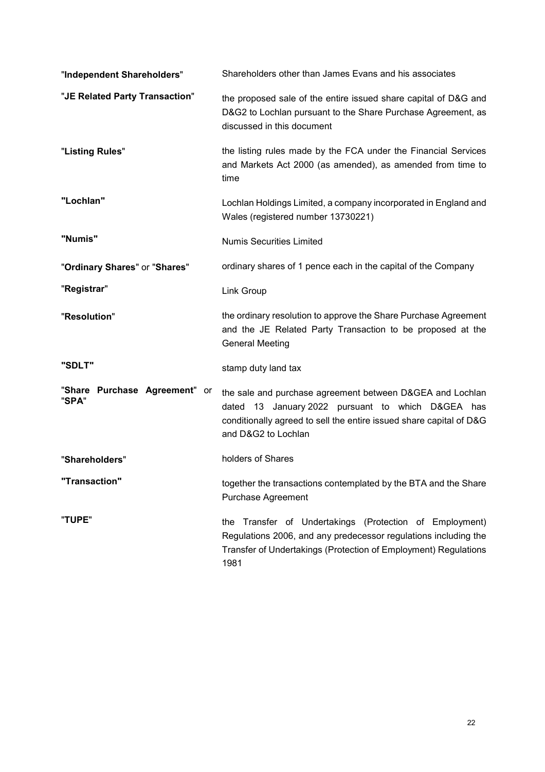| "Independent Shareholders"             | Shareholders other than James Evans and his associates                                                                                                                                                       |
|----------------------------------------|--------------------------------------------------------------------------------------------------------------------------------------------------------------------------------------------------------------|
| "JE Related Party Transaction"         | the proposed sale of the entire issued share capital of D&G and<br>D&G2 to Lochlan pursuant to the Share Purchase Agreement, as<br>discussed in this document                                                |
| "Listing Rules"                        | the listing rules made by the FCA under the Financial Services<br>and Markets Act 2000 (as amended), as amended from time to<br>time                                                                         |
| "Lochlan"                              | Lochlan Holdings Limited, a company incorporated in England and<br>Wales (registered number 13730221)                                                                                                        |
| "Numis"                                | <b>Numis Securities Limited</b>                                                                                                                                                                              |
| "Ordinary Shares" or "Shares"          | ordinary shares of 1 pence each in the capital of the Company                                                                                                                                                |
| "Registrar"                            | Link Group                                                                                                                                                                                                   |
| "Resolution"                           | the ordinary resolution to approve the Share Purchase Agreement<br>and the JE Related Party Transaction to be proposed at the<br><b>General Meeting</b>                                                      |
| "SDLT"                                 | stamp duty land tax                                                                                                                                                                                          |
| "Share Purchase Agreement" or<br>"SPA" | the sale and purchase agreement between D&GEA and Lochlan<br>dated 13 January 2022 pursuant to which D&GEA has<br>conditionally agreed to sell the entire issued share capital of D&G<br>and D&G2 to Lochlan |
| "Shareholders"                         | holders of Shares                                                                                                                                                                                            |
| "Transaction"                          | together the transactions contemplated by the BTA and the Share<br><b>Purchase Agreement</b>                                                                                                                 |
| "TUPE"                                 | the Transfer of Undertakings (Protection of Employment)<br>Regulations 2006, and any predecessor regulations including the<br>Transfer of Undertakings (Protection of Employment) Regulations<br>1981        |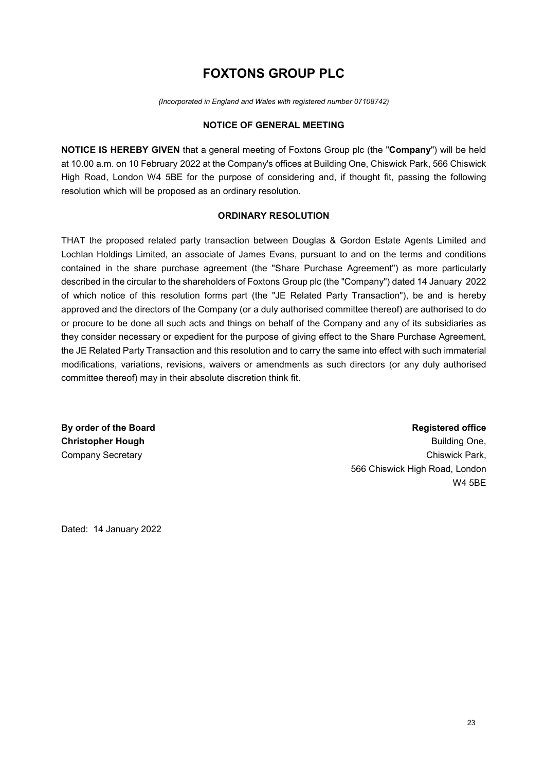# **FOXTONS GROUP PLC**

*(Incorporated in England and Wales with registered number 07108742)*

#### **NOTICE OF GENERAL MEETING**

**NOTICE IS HEREBY GIVEN** that a general meeting of Foxtons Group plc (the "**Company**") will be held at 10.00 a.m. on 10 February 2022 at the Company's offices at Building One, Chiswick Park, 566 Chiswick High Road, London W4 5BE for the purpose of considering and, if thought fit, passing the following resolution which will be proposed as an ordinary resolution.

#### **ORDINARY RESOLUTION**

THAT the proposed related party transaction between Douglas & Gordon Estate Agents Limited and Lochlan Holdings Limited, an associate of James Evans, pursuant to and on the terms and conditions contained in the share purchase agreement (the "Share Purchase Agreement") as more particularly described in the circular to the shareholders of Foxtons Group plc (the "Company") dated 14 January 2022 of which notice of this resolution forms part (the "JE Related Party Transaction"), be and is hereby approved and the directors of the Company (or a duly authorised committee thereof) are authorised to do or procure to be done all such acts and things on behalf of the Company and any of its subsidiaries as they consider necessary or expedient for the purpose of giving effect to the Share Purchase Agreement, the JE Related Party Transaction and this resolution and to carry the same into effect with such immaterial modifications, variations, revisions, waivers or amendments as such directors (or any duly authorised committee thereof) may in their absolute discretion think fit.

**By order of the Board Christopher Hough**  Company Secretary

#### **Registered office**

Building One, Chiswick Park, 566 Chiswick High Road, London W4 5BE

Dated: 14 January 2022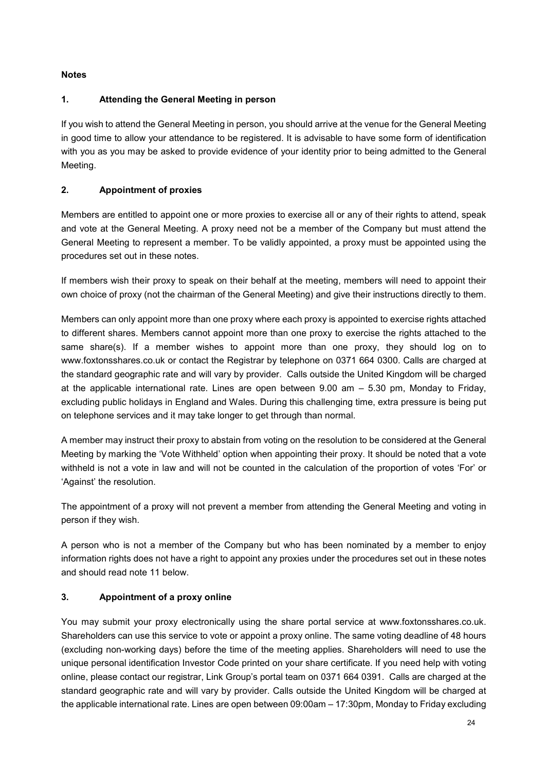# **Notes**

## **1. Attending the General Meeting in person**

If you wish to attend the General Meeting in person, you should arrive at the venue for the General Meeting in good time to allow your attendance to be registered. It is advisable to have some form of identification with you as you may be asked to provide evidence of your identity prior to being admitted to the General Meeting.

# **2. Appointment of proxies**

Members are entitled to appoint one or more proxies to exercise all or any of their rights to attend, speak and vote at the General Meeting. A proxy need not be a member of the Company but must attend the General Meeting to represent a member. To be validly appointed, a proxy must be appointed using the procedures set out in these notes.

If members wish their proxy to speak on their behalf at the meeting, members will need to appoint their own choice of proxy (not the chairman of the General Meeting) and give their instructions directly to them.

Members can only appoint more than one proxy where each proxy is appointed to exercise rights attached to different shares. Members cannot appoint more than one proxy to exercise the rights attached to the same share(s). If a member wishes to appoint more than one proxy, they should log on to www.foxtonsshares.co.uk or contact the Registrar by telephone on 0371 664 0300. Calls are charged at the standard geographic rate and will vary by provider. Calls outside the United Kingdom will be charged at the applicable international rate. Lines are open between 9.00 am – 5.30 pm, Monday to Friday, excluding public holidays in England and Wales. During this challenging time, extra pressure is being put on telephone services and it may take longer to get through than normal.

A member may instruct their proxy to abstain from voting on the resolution to be considered at the General Meeting by marking the 'Vote Withheld' option when appointing their proxy. It should be noted that a vote withheld is not a vote in law and will not be counted in the calculation of the proportion of votes 'For' or 'Against' the resolution.

The appointment of a proxy will not prevent a member from attending the General Meeting and voting in person if they wish.

A person who is not a member of the Company but who has been nominated by a member to enjoy information rights does not have a right to appoint any proxies under the procedures set out in these notes and should read note 11 below.

## **3. Appointment of a proxy online**

You may submit your proxy electronically using the share portal service at www.foxtonsshares.co.uk. Shareholders can use this service to vote or appoint a proxy online. The same voting deadline of 48 hours (excluding non-working days) before the time of the meeting applies. Shareholders will need to use the unique personal identification Investor Code printed on your share certificate. If you need help with voting online, please contact our registrar, Link Group's portal team on 0371 664 0391. Calls are charged at the standard geographic rate and will vary by provider. Calls outside the United Kingdom will be charged at the applicable international rate. Lines are open between 09:00am – 17:30pm, Monday to Friday excluding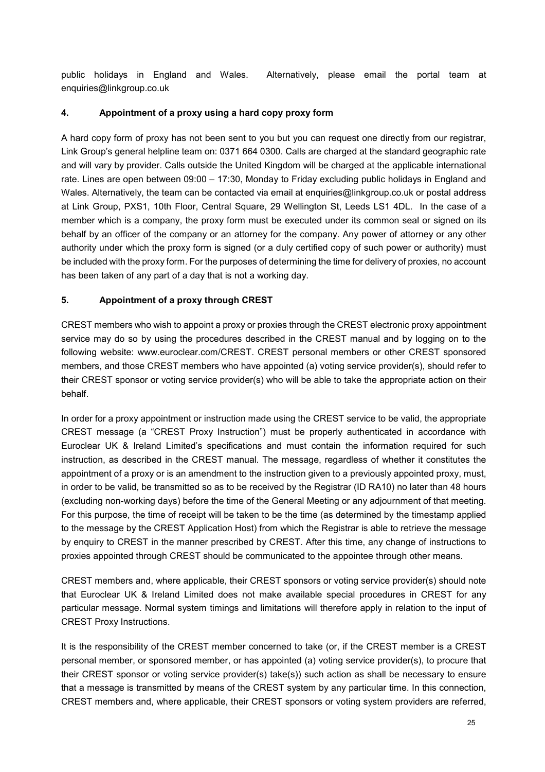public holidays in England and Wales. Alternatively, please email the portal team at enquiries@linkgroup.co.uk

## **4. Appointment of a proxy using a hard copy proxy form**

A hard copy form of proxy has not been sent to you but you can request one directly from our registrar, Link Group's general helpline team on: 0371 664 0300. Calls are charged at the standard geographic rate and will vary by provider. Calls outside the United Kingdom will be charged at the applicable international rate. Lines are open between 09:00 – 17:30, Monday to Friday excluding public holidays in England and Wales. Alternatively, the team can be contacted via email at enquiries@linkgroup.co.uk or postal address at Link Group, PXS1, 10th Floor, Central Square, 29 Wellington St, Leeds LS1 4DL. In the case of a member which is a company, the proxy form must be executed under its common seal or signed on its behalf by an officer of the company or an attorney for the company. Any power of attorney or any other authority under which the proxy form is signed (or a duly certified copy of such power or authority) must be included with the proxy form. For the purposes of determining the time for delivery of proxies, no account has been taken of any part of a day that is not a working day.

# **5. Appointment of a proxy through CREST**

CREST members who wish to appoint a proxy or proxies through the CREST electronic proxy appointment service may do so by using the procedures described in the CREST manual and by logging on to the following website: www.euroclear.com/CREST. CREST personal members or other CREST sponsored members, and those CREST members who have appointed (a) voting service provider(s), should refer to their CREST sponsor or voting service provider(s) who will be able to take the appropriate action on their behalf.

In order for a proxy appointment or instruction made using the CREST service to be valid, the appropriate CREST message (a "CREST Proxy Instruction") must be properly authenticated in accordance with Euroclear UK & Ireland Limited's specifications and must contain the information required for such instruction, as described in the CREST manual. The message, regardless of whether it constitutes the appointment of a proxy or is an amendment to the instruction given to a previously appointed proxy, must, in order to be valid, be transmitted so as to be received by the Registrar (ID RA10) no later than 48 hours (excluding non-working days) before the time of the General Meeting or any adjournment of that meeting. For this purpose, the time of receipt will be taken to be the time (as determined by the timestamp applied to the message by the CREST Application Host) from which the Registrar is able to retrieve the message by enquiry to CREST in the manner prescribed by CREST. After this time, any change of instructions to proxies appointed through CREST should be communicated to the appointee through other means.

CREST members and, where applicable, their CREST sponsors or voting service provider(s) should note that Euroclear UK & Ireland Limited does not make available special procedures in CREST for any particular message. Normal system timings and limitations will therefore apply in relation to the input of CREST Proxy Instructions.

It is the responsibility of the CREST member concerned to take (or, if the CREST member is a CREST personal member, or sponsored member, or has appointed (a) voting service provider(s), to procure that their CREST sponsor or voting service provider(s) take(s)) such action as shall be necessary to ensure that a message is transmitted by means of the CREST system by any particular time. In this connection, CREST members and, where applicable, their CREST sponsors or voting system providers are referred,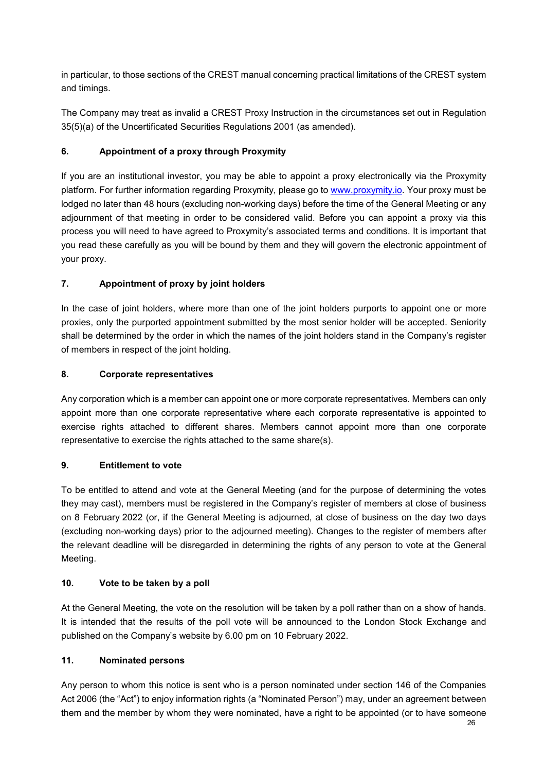in particular, to those sections of the CREST manual concerning practical limitations of the CREST system and timings.

The Company may treat as invalid a CREST Proxy Instruction in the circumstances set out in Regulation 35(5)(a) of the Uncertificated Securities Regulations 2001 (as amended).

## **6. Appointment of a proxy through Proxymity**

If you are an institutional investor, you may be able to appoint a proxy electronically via the Proxymity platform. For further information regarding Proxymity, please go to www.proxymity.io. Your proxy must be lodged no later than 48 hours (excluding non-working days) before the time of the General Meeting or any adjournment of that meeting in order to be considered valid. Before you can appoint a proxy via this process you will need to have agreed to Proxymity's associated terms and conditions. It is important that you read these carefully as you will be bound by them and they will govern the electronic appointment of your proxy.

# **7. Appointment of proxy by joint holders**

In the case of joint holders, where more than one of the joint holders purports to appoint one or more proxies, only the purported appointment submitted by the most senior holder will be accepted. Seniority shall be determined by the order in which the names of the joint holders stand in the Company's register of members in respect of the joint holding.

## **8. Corporate representatives**

Any corporation which is a member can appoint one or more corporate representatives. Members can only appoint more than one corporate representative where each corporate representative is appointed to exercise rights attached to different shares. Members cannot appoint more than one corporate representative to exercise the rights attached to the same share(s).

## **9. Entitlement to vote**

To be entitled to attend and vote at the General Meeting (and for the purpose of determining the votes they may cast), members must be registered in the Company's register of members at close of business on 8 February 2022 (or, if the General Meeting is adjourned, at close of business on the day two days (excluding non-working days) prior to the adjourned meeting). Changes to the register of members after the relevant deadline will be disregarded in determining the rights of any person to vote at the General Meeting.

## **10. Vote to be taken by a poll**

At the General Meeting, the vote on the resolution will be taken by a poll rather than on a show of hands. It is intended that the results of the poll vote will be announced to the London Stock Exchange and published on the Company's website by 6.00 pm on 10 February 2022.

## **11. Nominated persons**

Any person to whom this notice is sent who is a person nominated under section 146 of the Companies Act 2006 (the "Act") to enjoy information rights (a "Nominated Person") may, under an agreement between them and the member by whom they were nominated, have a right to be appointed (or to have someone